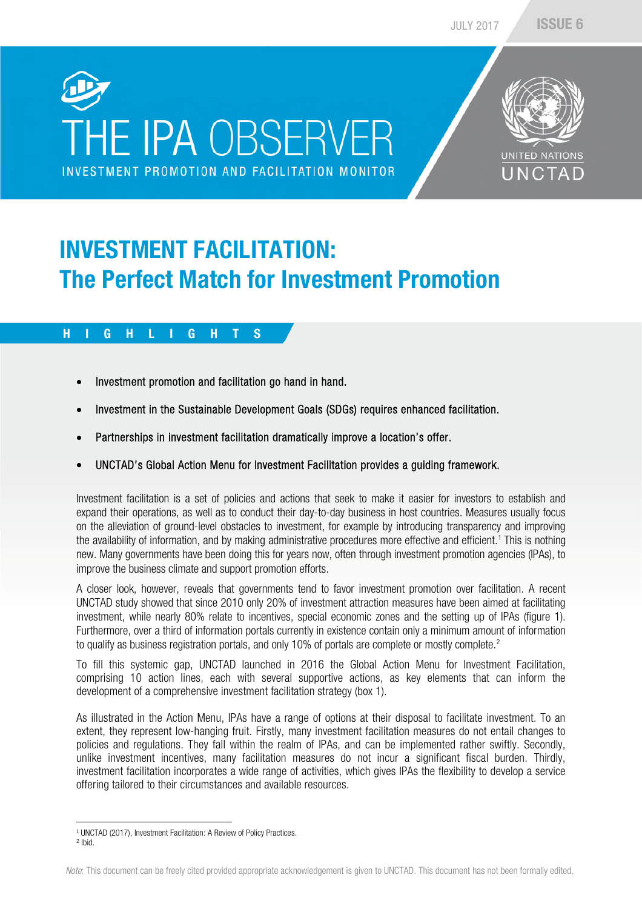# **THE IPA OBSERVER** INVESTMENT PROMOTION AND FACILITATION MONITOR



## INVESTMENT FACILITATION: The Perfect Match for Investment Promotion

#### H I G H L I G H T S

- Investment promotion and facilitation go hand in hand.
- Investment in the Sustainable Development Goals (SDGs) requires enhanced facilitation.
- Partnerships in investment facilitation dramatically improve a location's offer.
- UNCTAD's Global Action Menu for Investment Facilitation provides a guiding framework.

Investment facilitation is a set of policies and actions that seek to make it easier for investors to establish and expand their operations, as well as to conduct their day-to-day business in host countries. Measures usually focus on the alleviation of ground-level obstacles to investment, for example by introducing transparency and improving the availability of information, and by making administrative procedures more effective and efficient.<sup>1</sup> This is nothing new. Many governments have been doing this for years now, often through investment promotion agencies (IPAs), to improve the business climate and support promotion efforts.

A closer look, however, reveals that governments tend to favor investment promotion over facilitation. A recent UNCTAD study showed that since 2010 only 20% of investment attraction measures have been aimed at facilitating investment, while nearly 80% relate to incentives, special economic zones and the setting up of IPAs (figure 1). Furthermore, over a third of information portals currently in existence contain only a minimum amount of information to qualify as business registration portals, and only 10% of portals are complete or mostly complete.<sup>2</sup>

To fill this systemic gap, UNCTAD launched in 2016 the Global Action Menu for Investment Facilitation, comprising 10 action lines, each with several supportive actions, as key elements that can inform the development of a comprehensive investment facilitation strategy (box 1).

As illustrated in the Action Menu, IPAs have a range of options at their disposal to facilitate investment. To an extent, they represent low-hanging fruit. Firstly, many investment facilitation measures do not entail changes to policies and regulations. They fall within the realm of IPAs, and can be implemented rather swiftly. Secondly, unlike investment incentives, many facilitation measures do not incur a significant fiscal burden. Thirdly, investment facilitation incorporates a wide range of activities, which gives IPAs the flexibility to develop a service offering tailored to their circumstances and available resources.

<sup>1</sup> UNCTAD (2017), Investment Facilitation: A Review of Policy Practices.

<sup>2</sup> Ibid.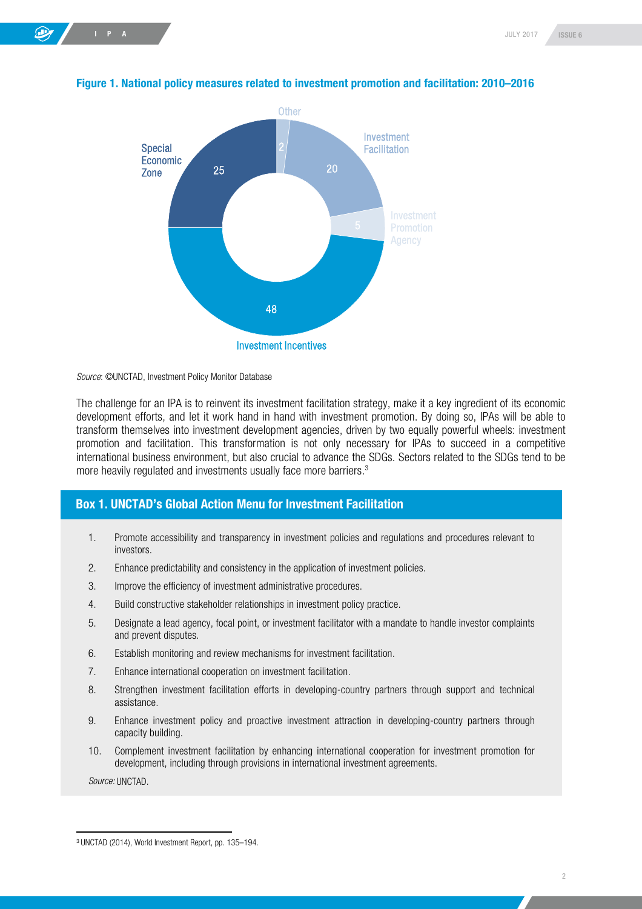

#### Figure 1. National policy measures related to investment promotion and facilitation: 2010–2016

*Source*: ©UNCTAD, Investment Policy Monitor Database

The challenge for an IPA is to reinvent its investment facilitation strategy, make it a key ingredient of its economic development efforts, and let it work hand in hand with investment promotion. By doing so, IPAs will be able to transform themselves into investment development agencies, driven by two equally powerful wheels: investment promotion and facilitation. This transformation is not only necessary for IPAs to succeed in a competitive international business environment, but also crucial to advance the SDGs. Sectors related to the SDGs tend to be more heavily regulated and investments usually face more barriers.<sup>3</sup>

#### Box 1. UNCTAD's Global Action Menu for Investment Facilitation

- 1. Promote accessibility and transparency in investment policies and regulations and procedures relevant to investors.
- 2. Enhance predictability and consistency in the application of investment policies.
- 3. Improve the efficiency of investment administrative procedures.
- 4. Build constructive stakeholder relationships in investment policy practice.
- 5. Designate a lead agency, focal point, or investment facilitator with a mandate to handle investor complaints and prevent disputes.
- 6. Establish monitoring and review mechanisms for investment facilitation.
- 7. Enhance international cooperation on investment facilitation.
- 8. Strengthen investment facilitation efforts in developing-country partners through support and technical assistance.
- 9. Enhance investment policy and proactive investment attraction in developing-country partners through capacity building.
- 10. Complement investment facilitation by enhancing international cooperation for investment promotion for development, including through provisions in international investment agreements.

*Source:* UNCTAD.

<sup>3</sup> UNCTAD (2014), World Investment Report, pp. 135–194.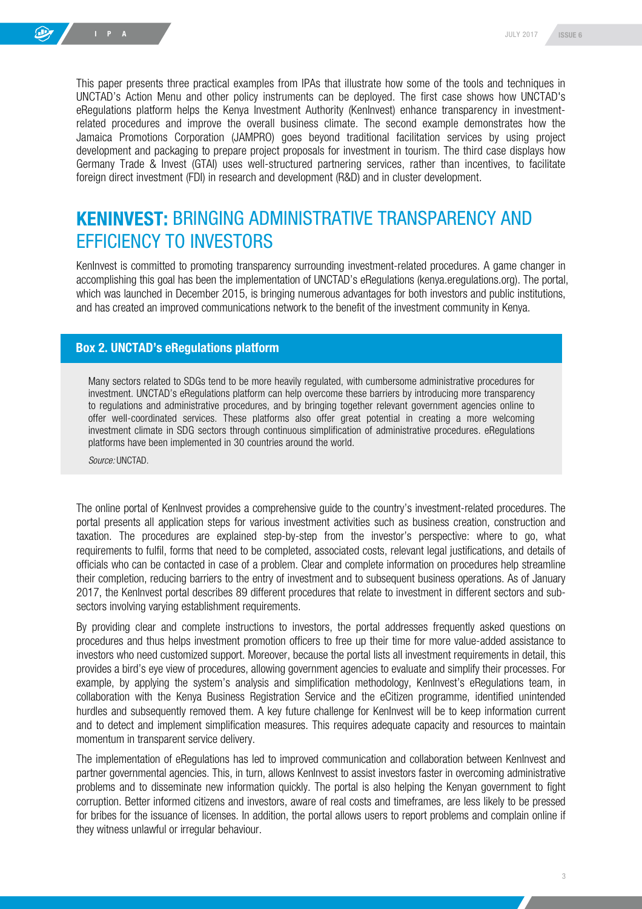This paper presents three practical examples from IPAs that illustrate how some of the tools and techniques in UNCTAD's Action Menu and other policy instruments can be deployed. The first case shows how UNCTAD's eRegulations platform helps the Kenya Investment Authority (KenInvest) enhance transparency in investmentrelated procedures and improve the overall business climate. The second example demonstrates how the Jamaica Promotions Corporation (JAMPRO) goes beyond traditional facilitation services by using project development and packaging to prepare project proposals for investment in tourism. The third case displays how Germany Trade & Invest (GTAI) uses well-structured partnering services, rather than incentives, to facilitate foreign direct investment (FDI) in research and development (R&D) and in cluster development.

## KENINVEST: BRINGING ADMINISTRATIVE TRANSPARENCY AND EFFICIENCY TO INVESTORS

KenInvest is committed to promoting transparency surrounding investment-related procedures. A game changer in accomplishing this goal has been the implementation of UNCTAD's eRegulations (kenya.eregulations.org). The portal, which was launched in December 2015, is bringing numerous advantages for both investors and public institutions, and has created an improved communications network to the benefit of the investment community in Kenya.

#### Box 2. UNCTAD's eRegulations platform

Many sectors related to SDGs tend to be more heavily regulated, with cumbersome administrative procedures for investment. UNCTAD's eRegulations platform can help overcome these barriers by introducing more transparency to regulations and administrative procedures, and by bringing together relevant government agencies online to offer well-coordinated services. These platforms also offer great potential in creating a more welcoming investment climate in SDG sectors through continuous simplification of administrative procedures. eRegulations platforms have been implemented in 30 countries around the world.

*Source:* UNCTAD.

The online portal of KenInvest provides a comprehensive guide to the country's investment-related procedures. The portal presents all application steps for various investment activities such as business creation, construction and taxation. The procedures are explained step-by-step from the investor's perspective: where to go, what requirements to fulfil, forms that need to be completed, associated costs, relevant legal justifications, and details of officials who can be contacted in case of a problem. Clear and complete information on procedures help streamline their completion, reducing barriers to the entry of investment and to subsequent business operations. As of January 2017, the KenInvest portal describes 89 different procedures that relate to investment in different sectors and subsectors involving varying establishment requirements.

By providing clear and complete instructions to investors, the portal addresses frequently asked questions on procedures and thus helps investment promotion officers to free up their time for more value-added assistance to investors who need customized support. Moreover, because the portal lists all investment requirements in detail, this provides a bird's eye view of procedures, allowing government agencies to evaluate and simplify their processes. For example, by applying the system's analysis and simplification methodology, KenInvest's eRegulations team, in collaboration with the Kenya Business Registration Service and the eCitizen programme, identified unintended hurdles and subsequently removed them. A key future challenge for KenInvest will be to keep information current and to detect and implement simplification measures. This requires adequate capacity and resources to maintain momentum in transparent service delivery.

The implementation of eRegulations has led to improved communication and collaboration between KenInvest and partner governmental agencies. This, in turn, allows KenInvest to assist investors faster in overcoming administrative problems and to disseminate new information quickly. The portal is also helping the Kenyan government to fight corruption. Better informed citizens and investors, aware of real costs and timeframes, are less likely to be pressed for bribes for the issuance of licenses. In addition, the portal allows users to report problems and complain online if they witness unlawful or irregular behaviour.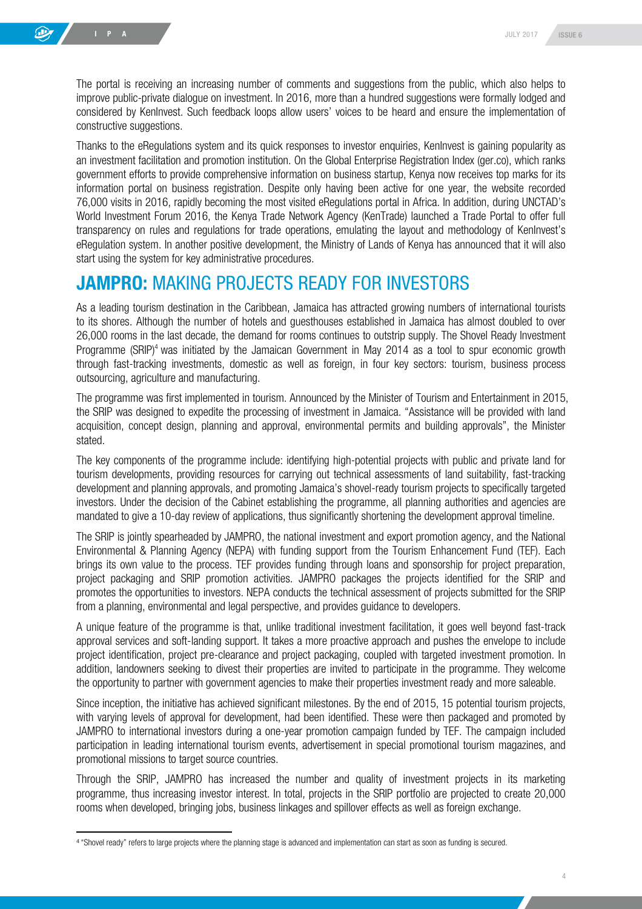The portal is receiving an increasing number of comments and suggestions from the public, which also helps to improve public-private dialogue on investment. In 2016, more than a hundred suggestions were formally lodged and considered by KenInvest. Such feedback loops allow users' voices to be heard and ensure the implementation of constructive suggestions.

Thanks to the eRegulations system and its quick responses to investor enquiries, KenInvest is gaining popularity as an investment facilitation and promotion institution. On the Global Enterprise Registration Index (ger.co), which ranks government efforts to provide comprehensive information on business startup, Kenya now receives top marks for its information portal on business registration. Despite only having been active for one year, the website recorded 76,000 visits in 2016, rapidly becoming the most visited eRegulations portal in Africa. In addition, during UNCTAD's World Investment Forum 2016, the Kenya Trade Network Agency (KenTrade) launched a Trade Portal to offer full transparency on rules and regulations for trade operations, emulating the layout and methodology of KenInvest's eRegulation system. In another positive development, the Ministry of Lands of Kenya has announced that it will also start using the system for key administrative procedures.

### JAMPRO: MAKING PROJECTS READY FOR INVESTORS

As a leading tourism destination in the Caribbean, Jamaica has attracted growing numbers of international tourists to its shores. Although the number of hotels and guesthouses established in Jamaica has almost doubled to over 26,000 rooms in the last decade, the demand for rooms continues to outstrip supply. The Shovel Ready Investment Programme (SRIP)<sup>4</sup> was initiated by the Jamaican Government in May 2014 as a tool to spur economic growth through fast-tracking investments, domestic as well as foreign, in four key sectors: tourism, business process outsourcing, agriculture and manufacturing.

The programme was first implemented in tourism. Announced by the Minister of Tourism and Entertainment in 2015, the SRIP was designed to expedite the processing of investment in Jamaica. "Assistance will be provided with land acquisition, concept design, planning and approval, environmental permits and building approvals", the Minister stated.

The key components of the programme include: identifying high-potential projects with public and private land for tourism developments, providing resources for carrying out technical assessments of land suitability, fast-tracking development and planning approvals, and promoting Jamaica's shovel-ready tourism projects to specifically targeted investors. Under the decision of the Cabinet establishing the programme, all planning authorities and agencies are mandated to give a 10-day review of applications, thus significantly shortening the development approval timeline.

The SRIP is jointly spearheaded by JAMPRO, the national investment and export promotion agency, and the National Environmental & Planning Agency (NEPA) with funding support from the Tourism Enhancement Fund (TEF). Each brings its own value to the process. TEF provides funding through loans and sponsorship for project preparation, project packaging and SRIP promotion activities. JAMPRO packages the projects identified for the SRIP and promotes the opportunities to investors. NEPA conducts the technical assessment of projects submitted for the SRIP from a planning, environmental and legal perspective, and provides guidance to developers.

A unique feature of the programme is that, unlike traditional investment facilitation, it goes well beyond fast-track approval services and soft-landing support. It takes a more proactive approach and pushes the envelope to include project identification, project pre-clearance and project packaging, coupled with targeted investment promotion. In addition, landowners seeking to divest their properties are invited to participate in the programme. They welcome the opportunity to partner with government agencies to make their properties investment ready and more saleable.

Since inception, the initiative has achieved significant milestones. By the end of 2015, 15 potential tourism projects, with varying levels of approval for development, had been identified. These were then packaged and promoted by JAMPRO to international investors during a one-year promotion campaign funded by TEF. The campaign included participation in leading international tourism events, advertisement in special promotional tourism magazines, and promotional missions to target source countries.

Through the SRIP, JAMPRO has increased the number and quality of investment projects in its marketing programme, thus increasing investor interest. In total, projects in the SRIP portfolio are projected to create 20,000 rooms when developed, bringing jobs, business linkages and spillover effects as well as foreign exchange.

<sup>4</sup> "Shovel ready" refers to large projects where the planning stage is advanced and implementation can start as soon as funding is secured.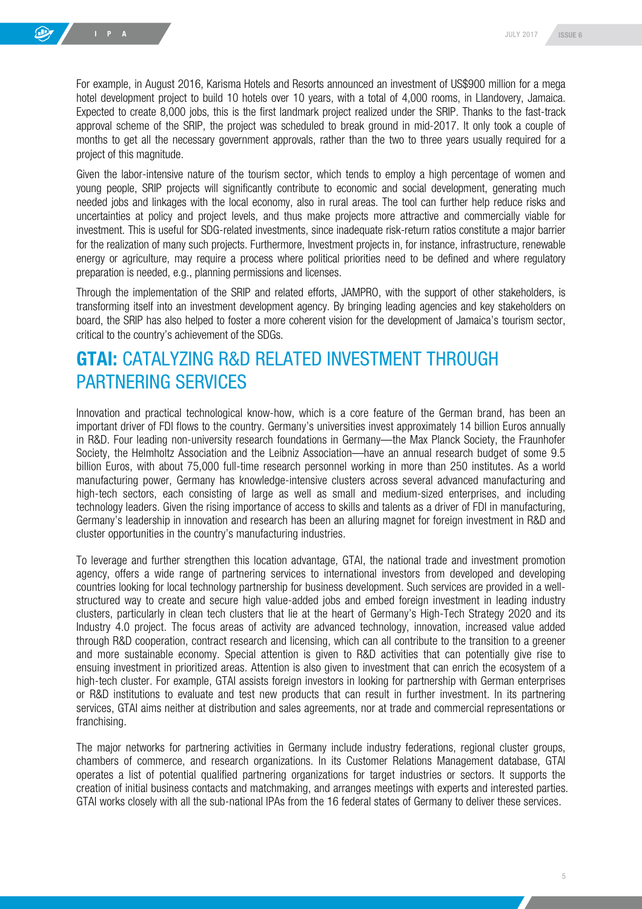For example, in August 2016, Karisma Hotels and Resorts announced an investment of US\$900 million for a mega hotel development project to build 10 hotels over 10 years, with a total of 4,000 rooms, in Llandovery, Jamaica. Expected to create 8,000 jobs, this is the first landmark project realized under the SRIP. Thanks to the fast-track approval scheme of the SRIP, the project was scheduled to break ground in mid-2017. It only took a couple of months to get all the necessary government approvals, rather than the two to three years usually required for a project of this magnitude.

Given the labor-intensive nature of the tourism sector, which tends to employ a high percentage of women and young people, SRIP projects will significantly contribute to economic and social development, generating much needed jobs and linkages with the local economy, also in rural areas. The tool can further help reduce risks and uncertainties at policy and project levels, and thus make projects more attractive and commercially viable for investment. This is useful for SDG-related investments, since inadequate risk-return ratios constitute a major barrier for the realization of many such projects. Furthermore, Investment projects in, for instance, infrastructure, renewable energy or agriculture, may require a process where political priorities need to be defined and where regulatory preparation is needed, e.g., planning permissions and licenses.

Through the implementation of the SRIP and related efforts, JAMPRO, with the support of other stakeholders, is transforming itself into an investment development agency. By bringing leading agencies and key stakeholders on board, the SRIP has also helped to foster a more coherent vision for the development of Jamaica's tourism sector, critical to the country's achievement of the SDGs.

## GTAI: CATALYZING R&D RELATED INVESTMENT THROUGH PARTNERING SERVICES

Innovation and practical technological know-how, which is a core feature of the German brand, has been an important driver of FDI flows to the country. Germany's universities invest approximately 14 billion Euros annually in R&D. Four leading non-university research foundations in Germany—the Max Planck Society, the Fraunhofer Society, the Helmholtz Association and the Leibniz Association—have an annual research budget of some 9.5 billion Euros, with about 75,000 full-time research personnel working in more than 250 institutes. As a world manufacturing power, Germany has knowledge-intensive clusters across several advanced manufacturing and high-tech sectors, each consisting of large as well as small and medium-sized enterprises, and including technology leaders. Given the rising importance of access to skills and talents as a driver of FDI in manufacturing, Germany's leadership in innovation and research has been an alluring magnet for foreign investment in R&D and cluster opportunities in the country's manufacturing industries.

To leverage and further strengthen this location advantage, GTAI, the national trade and investment promotion agency, offers a wide range of partnering services to international investors from developed and developing countries looking for local technology partnership for business development. Such services are provided in a wellstructured way to create and secure high value-added jobs and embed foreign investment in leading industry clusters, particularly in clean tech clusters that lie at the heart of Germany's High-Tech Strategy 2020 and its Industry 4.0 project. The focus areas of activity are advanced technology, innovation, increased value added through R&D cooperation, contract research and licensing, which can all contribute to the transition to a greener and more sustainable economy. Special attention is given to R&D activities that can potentially give rise to ensuing investment in prioritized areas. Attention is also given to investment that can enrich the ecosystem of a high-tech cluster. For example, GTAI assists foreign investors in looking for partnership with German enterprises or R&D institutions to evaluate and test new products that can result in further investment. In its partnering services, GTAI aims neither at distribution and sales agreements, nor at trade and commercial representations or franchising.

The major networks for partnering activities in Germany include industry federations, regional cluster groups, chambers of commerce, and research organizations. In its Customer Relations Management database, GTAI operates a list of potential qualified partnering organizations for target industries or sectors. It supports the creation of initial business contacts and matchmaking, and arranges meetings with experts and interested parties. GTAI works closely with all the sub-national IPAs from the 16 federal states of Germany to deliver these services.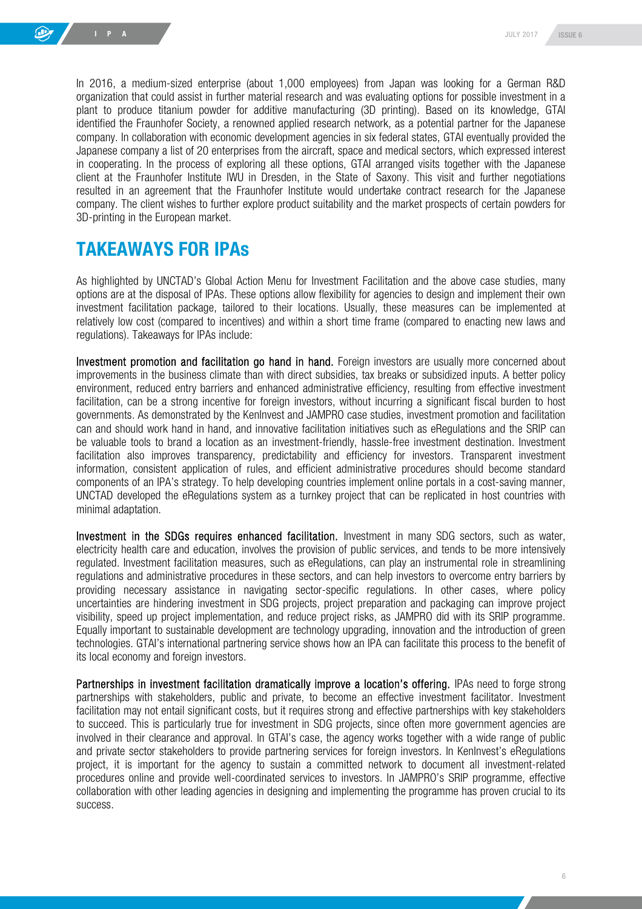In 2016, a medium-sized enterprise (about 1,000 employees) from Japan was looking for a German R&D organization that could assist in further material research and was evaluating options for possible investment in a plant to produce titanium powder for additive manufacturing (3D printing). Based on its knowledge, GTAI identified the Fraunhofer Society, a renowned applied research network, as a potential partner for the Japanese company. In collaboration with economic development agencies in six federal states, GTAI eventually provided the Japanese company a list of 20 enterprises from the aircraft, space and medical sectors, which expressed interest in cooperating. In the process of exploring all these options, GTAI arranged visits together with the Japanese client at the Fraunhofer Institute IWU in Dresden, in the State of Saxony. This visit and further negotiations resulted in an agreement that the Fraunhofer Institute would undertake contract research for the Japanese company. The client wishes to further explore product suitability and the market prospects of certain powders for 3D-printing in the European market.

### TAKEAWAYS FOR IPAs

As highlighted by UNCTAD's Global Action Menu for Investment Facilitation and the above case studies, many options are at the disposal of IPAs. These options allow flexibility for agencies to design and implement their own investment facilitation package, tailored to their locations. Usually, these measures can be implemented at relatively low cost (compared to incentives) and within a short time frame (compared to enacting new laws and regulations). Takeaways for IPAs include:

Investment promotion and facilitation go hand in hand. Foreign investors are usually more concerned about improvements in the business climate than with direct subsidies, tax breaks or subsidized inputs. A better policy environment, reduced entry barriers and enhanced administrative efficiency, resulting from effective investment facilitation, can be a strong incentive for foreign investors, without incurring a significant fiscal burden to host governments. As demonstrated by the KenInvest and JAMPRO case studies, investment promotion and facilitation can and should work hand in hand, and innovative facilitation initiatives such as eRegulations and the SRIP can be valuable tools to brand a location as an investment-friendly, hassle-free investment destination. Investment facilitation also improves transparency, predictability and efficiency for investors. Transparent investment information, consistent application of rules, and efficient administrative procedures should become standard components of an IPA's strategy. To help developing countries implement online portals in a cost-saving manner, UNCTAD developed the eRegulations system as a turnkey project that can be replicated in host countries with minimal adaptation.

Investment in the SDGs requires enhanced facilitation. Investment in many SDG sectors, such as water, electricity health care and education, involves the provision of public services, and tends to be more intensively regulated. Investment facilitation measures, such as eRegulations, can play an instrumental role in streamlining regulations and administrative procedures in these sectors, and can help investors to overcome entry barriers by providing necessary assistance in navigating sector-specific regulations. In other cases, where policy uncertainties are hindering investment in SDG projects, project preparation and packaging can improve project visibility, speed up project implementation, and reduce project risks, as JAMPRO did with its SRIP programme. Equally important to sustainable development are technology upgrading, innovation and the introduction of green technologies. GTAI's international partnering service shows how an IPA can facilitate this process to the benefit of its local economy and foreign investors.

Partnerships in investment facilitation dramatically improve a location's offering. IPAs need to forge strong partnerships with stakeholders, public and private, to become an effective investment facilitator. Investment facilitation may not entail significant costs, but it requires strong and effective partnerships with key stakeholders to succeed. This is particularly true for investment in SDG projects, since often more government agencies are involved in their clearance and approval. In GTAI's case, the agency works together with a wide range of public and private sector stakeholders to provide partnering services for foreign investors. In KenInvest's eRegulations project, it is important for the agency to sustain a committed network to document all investment-related procedures online and provide well-coordinated services to investors. In JAMPRO's SRIP programme, effective collaboration with other leading agencies in designing and implementing the programme has proven crucial to its success.

6